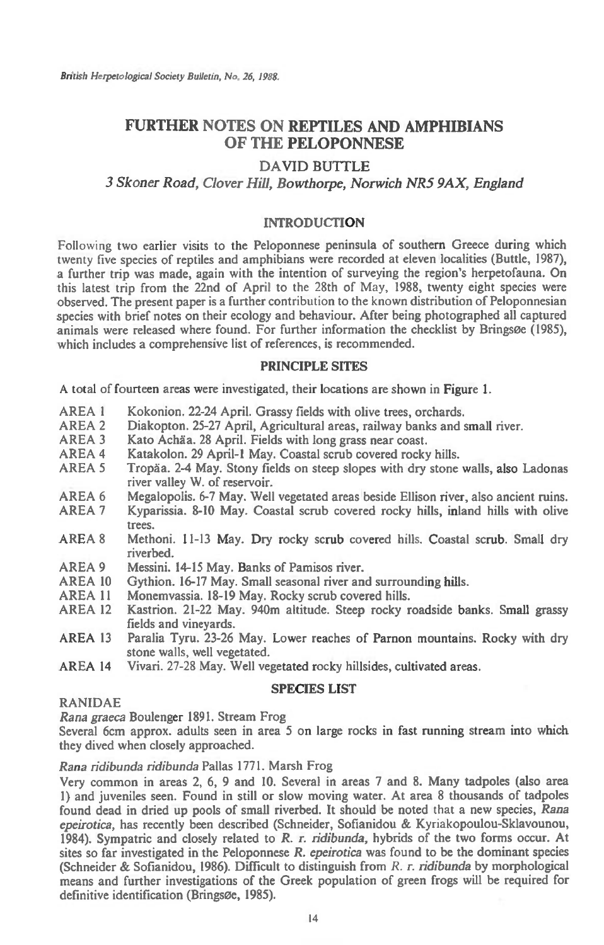# **FURTHER NOTES ON REPTILES AND AMPHIBIANS OF THE PELOPONNESE**

## **DAVID BUTTLE**

## *3 Skoner Road, Clover Hill, Bowthorpe, Norwich NRS 9AX, England*

## **INTRODUCTION**

Following two earlier visits to the Peloponnese peninsula of southern Greece during which twenty five species of reptiles and amphibians were recorded at eleven localities (Buttle, 1987), a further trip was made, again with the intention of surveying the region's herpetofauna. On this latest trip from the 22nd of April to the 28th of May, 1988, twenty eight species were observed. The present paper is a further contribution to the known distribution of Peloponnesian species with brief notes on their ecology and behaviour. After being photographed all captured animals were released where found. For further information the checklist by Bringsee (1985), which includes a comprehensive list of references, is recommended.

## **PRINCIPLE SITES**

A total of fourteen areas were investigated, their locations are shown in Figure 1.

- AREA 1 Kokonion. 22-24 April. Grassy fields with olive trees, orchards.<br>AREA 2 Diakopton. 25-27 April. Agricultural areas. railway banks and s
- AREA 2 Diakopton. 25-27 April, Agricultural areas, railway banks and small river.<br>AREA 3 Kato Achãa. 28 April. Fields with long grass near coast.
- AREA 3 Kato Achaa. 28 April. Fields with long grass near coast.<br>AREA 4 Katakolon. 29 April-1 May. Coastal scrub covered rocks
- AREA 4 Katakolon. 29 April-1 May. Coastal scrub covered rocky hills.<br>AREA 5 Tropãa. 2-4 May. Stony fields on steep slopes with dry stone
- Tropäa. 2-4 May. Stony fields on steep slopes with dry stone walls, also Ladonas river valley W. of reservoir.
- AREA 6 Megalopolis. 6-7 May. Well vegetated areas beside Ellison river, also ancient ruins.<br>AREA 7 Kyparissia, 8-10 May. Coastal scrub covered rocky hills, inland hills with olive
- Kyparissia. 8-10 May. Coastal scrub covered rocky hills, inland hills with olive trees.
- AREA 8 Methoni. 11-13 May. Dry rocky scrub covered hills. Coastal scrub. Small dry riverbed.
- AREA 9 Messini. 14-15 May. Banks of Pamisos river.<br>AREA 10 Gythion. 16-17 May. Small seasonal river an
- AREA 10 Gythion. 16-17 May. Small seasonal river and surrounding hills.<br>AREA 11 Monemyassia. 18-19 May. Rocky scrub covered hills.
- AREA 11 Monemvassia. 18-19 May. Rocky scrub covered hills.<br>AREA 12 Kastrion. 21-22 May. 940m altitude. Steep rocky r
- Kastrion. 21-22 May. 940m altitude. Steep rocky roadside banks. Small grassy fields and vineyards.
- AREA 13 Paralia Tyru. 23-26 May. Lower reaches of Parnon mountains. Rocky with dry stone walls, well vegetated.
- AREA 14 Vivari. 27-28 May. Well vegetated rocky hillsides, cultivated areas.

## **SPECIES LIST**

## RANIDAE

Rana *graeca* Boulenger 1891. Stream Frog

Several 6cm approx. adults seen in area 5 on large rocks in fast running stream into which they dived when closely approached.

*Rana ridibunda ridibunda* Pallas 1771. Marsh Frog

Very common in areas 2, 6, 9 and 10. Several in areas 7 and 8. Many tadpoles (also area 1) and juveniles seen. Found in still or slow moving water. At area 8 thousands of tadpoles found dead in dried up pools of small riverbed. It should be noted that a new species, *Rana epeirotica*, has recently been described (Schneider, Sofianidou & Kyriakopoulou-Sklavounou, 1984). Sympatric and closely related to *R. r. ridibunda,* hybrids of the two forms occur. At sites so far investigated in the Peloponnese *R. epeirotica* was found to be the dominant species (Schneider & Sofianidou, 1986). Difficult to distinguish from *R. r. ridibunda* by morphological means and further investigations of the Greek population of green frogs will be required for definitive identification (Bringsøe, 1985).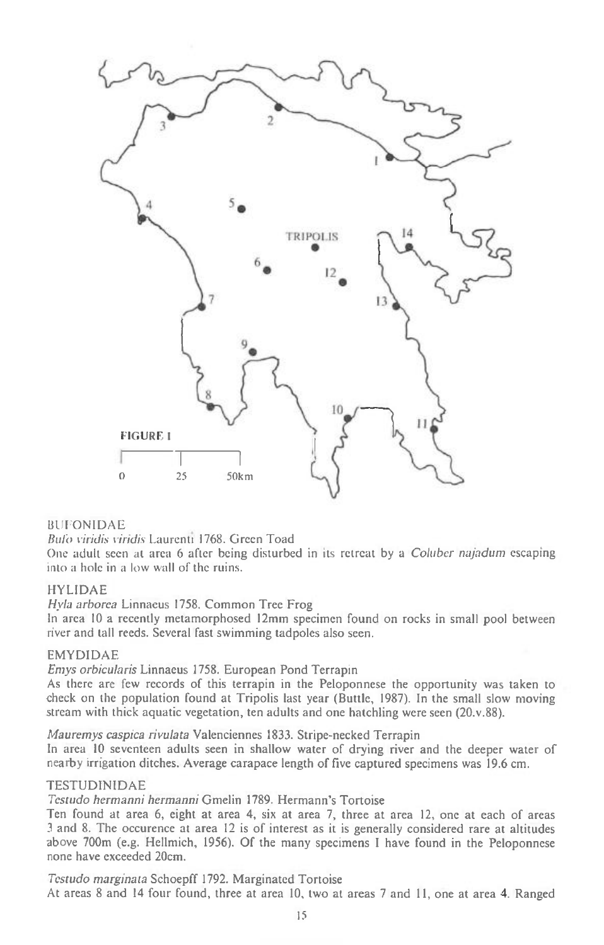

## **BUFONIDAE**

Buli) viridis viridis Laurenti 1768. Green Toad

One adult seen at area 6 after being disturbed in its retreat by a Coluber najadum escaping into a hole in a low wall of the ruins.

## HYLIDAE

Hyla arborea Linnaeus 1758. Common Tree Frog

In area 10 a recently metamorphosed 12mm specimen found on rocks in small pool between river and tall reeds. Several fast swimming tadpoles also seen.

## EMYDIDAE

Emys orbicularis Linnaeus 1758. European Pond Terrapin

As there are few records of this terrapin in the Peloponnese the opportunity was taken to check on the population found at Tripolis last year (Buttle, 1987). In the small slow moving stream with thick aquatic vegetation, ten adults and one hatchling were seen (20.v.88).

Mauremys caspica rivulata Valenciennes 1833. Stripe-necked Terrapin

In area 10 seventeen adults seen in shallow water of drying river and the deeper water of nearby irrigation ditches. Average carapace length of five captured specimens was 19.6 cm.

## TESTUDINIDAE

Testudo hermanni hermanni Gmelin 1789. Hermann's Tortoise

Ten found at area 6, eight at area 4, six at area 7, three at area 12, one at each of areas 3 and 8. The occurence at area 12 is of interest as it is generally considered rare at altitudes above 700m (e.g. Hellmich, 1956). Of the many specimens I have found in the Peloponnese none have exceeded 20cm.

Testudo marginata Schoepff 1792. Marginated Tortoise At areas 8 and 14 four found, three at area 10, two at areas 7 and 11, one at area 4. Ranged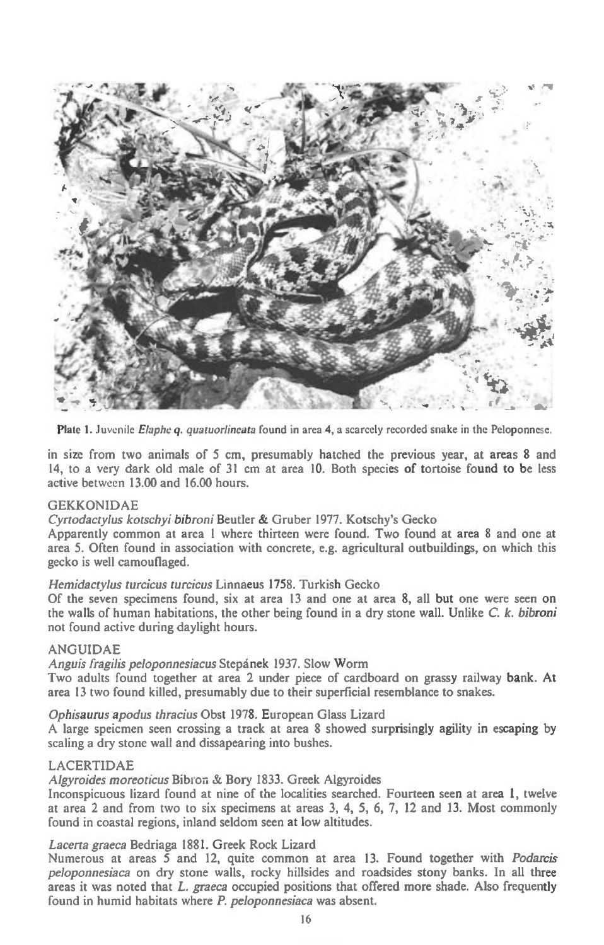

Plate 1. Juvenile *Elaphe q. quatuorlineata* found in area 4, a scarcely recorded snake in the Peloponnese.

in size from two animals of 5 cm, presumably hatched the previous year, at areas 8 and 14, to a very dark old male of 31 cm at area 10. Both species of tortoise found to be less active between 13.00 and 16.00 hours.

## GEKKONIDAE

*Cyrtodactylus kotschyi bibroni* Beutler & Gruber 1977. Kotschy's Gecko

Apparently common at area 1 where thirteen were found. Two found at area 8 and one at area 5. Often found in association with concrete, e.g. agricultural outbuildings, on which this gecko is well camouflaged.

## *Hemidactylus turcicus turcicus* Linnaeus 1758. Turkish Gecko

Of the seven specimens found, six at area 13 and one at area 8, all but one were seen on the walls of human habitations, the other being found in a dry stone wall. Unlike C. *k. bibroni*  not found active during daylight hours.

## ANGUIDAE

*Anguis fragilis peloponnesiacus* Stepanek 1937. Slow Worm

Two adults found together at area 2 under piece of cardboard on grassy railway bank. At area 13 two found killed, presumably due to their superficial resemblance to snakes.

## *Ophisaurus apodus thracius* Obst 1978. European Glass Lizard

A large speicmen seen crossing a track at area 8 showed surprisingly agility in escaping by scaling a dry stone wall and dissapearing into bushes.

## LACERTIDAE

Algyroides moreoticus Bibron & Bory 1833. Greek Algyroides

Inconspicuous lizard found at nine of the localities searched. Fourteen seen at area 1, twelve at area 2 and from two to six specimens at areas 3, 4, 5, 6, 7, 12 and 13. Most commonly found in coastal regions, inland seldom seen at low altitudes.

## *Lacerta graeca* Bedriaga 1881. Greek Rock Lizard

Numerous at areas 5 and 12, quite common at area 13. Found together with *Podarcis peloponnesiaca* on dry stone walls, rocky hillsides and roadsides stony banks. In all three areas it was noted that *L. graeca* occupied positions that offered more shade. Also frequently found in humid habitats where *P. peloponnesiaca* was absent.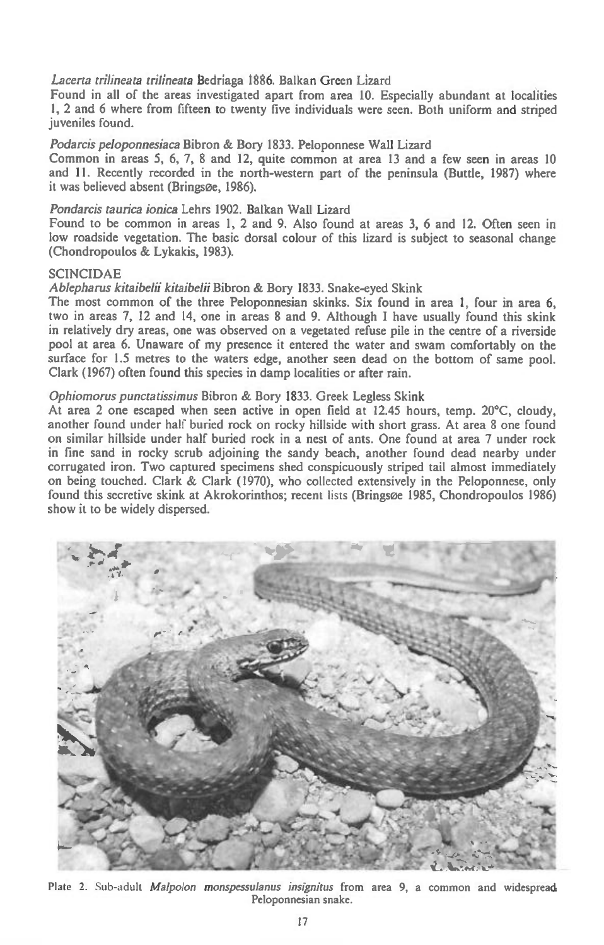## *Lacerta trilineata trilineata* Bedriaga 1886. Balkan Green Lizard

Found in all of the areas investigated apart from area 10. Especially abundant at localities 1, 2 and 6 where from fifteen to twenty five individuals were seen. Both uniform and striped juveniles found.

*Podarcis peloponnesiaca* Bibron & Bory 1833. Peloponnese Wall Lizard

Common in areas 5, 6, 7, 8 and 12, quite common at area 13 and a few seen in areas 10 and 11. Recently recorded in the north-western part of the peninsula (Buttle, 1987) where it was believed absent (Bringsøe, 1986).

## *Pondarcis taurica ionica* Lehrs 1902. Balkan Wall Lizard

Found to be common in areas 1, 2 and 9. Also found at areas 3, 6 and 12. Often seen in low roadside vegetation. The basic dorsal colour of this lizard is subject to seasonal change (Chondropoulos & Lykakis, 1983).

#### SCINCIDAE

#### *Ablepharus kitaibelii kitaibelii* Bibron & Bory 1833. Snake-eyed Skink

The most common of the three Peloponnesian skinks. Six found in area 1, four in area 6, two in areas 7, 12 and 14, one in areas 8 and 9. Although I have usually found this skink in relatively dry areas, one was observed on a vegetated refuse pile in the centre of a riverside pool at area 6. Unaware of my presence it entered the water and swam comfortably on the surface for 1.5 metres to the waters edge, another seen dead on the bottom of same pool. Clark (1967) often found this species in damp localities or after rain.

## *Ophiomorus punctatissimus* Bibron & Bory 1833. Greek Legless Skink

At area 2 one escaped when seen active in open field at 12.45 hours, temp. 20°C, cloudy, another found under half buried rock on rocky hillside with short grass. At area 8 one found on similar hillside under half buried rock in a nest of ants. One found at area 7 under rock in fine sand in rocky scrub adjoining the sandy beach, another found dead nearby under corrugated iron. Two captured specimens shed conspicuously striped tail almost immediately on being touched. Clark & Clark (1970), who collected extensively in the Peloponnese, only found this secretive skink at Akrokorinthos; recent lists (Bringsee 1985, Chondropoulos 1986) show it to be widely dispersed.



Plate 2. Sub-adult *Malpolon monspessulanus insignitus* from *area* 9, a common and widespread Peloponnesian snake.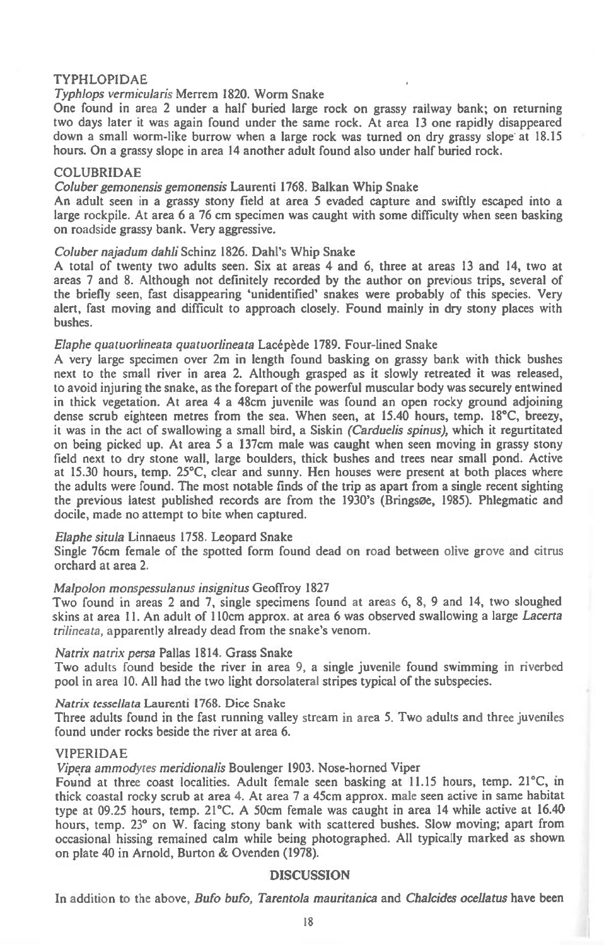## **TYPHLOPIDAE**

## *Typhlops vermicularis* **Merrem 1820. Worm Snake**

**One found in area 2 under a half buried large rock on grassy railway bank; on returning two days later it was again found under the same rock. At area 13 one rapidly disappeared down a small worm-like burrow when a large rock was turned on dry grassy slope at 18.15 hours. On a grassy slope in area 14 another adult found also under half buried rock.** 

#### **COLUBRIDAE**

#### *Coluber gemonensis gemonensis* **Laurenti 1768. Balkan Whip Snake**

**An adult seen in a grassy stony field at area 5 evaded capture and swiftly escaped into a large rockpile. At area 6 a 76 cm specimen was caught with some difficulty when seen basking on** roadside **grassy bank. Very aggressive.** 

#### *Coluber najadum dahli* **Schinz 1826. Dahl's Whip Snake**

**A total of twenty two adults seen. Six at areas 4 and 6, three at areas 13 and 14, two at areas 7 and 8. Although not definitely recorded by the author on previous trips, several of the briefly seen, fast disappearing 'unidentified' snakes were probably of this species. Very alert, fast moving and difficult to approach closely. Found mainly in dry stony places with bushes.** 

## *Elaphe quatuorlineata quatuorlineata* **Lacepede 1789. Four-lined Snake**

**A very large specimen over 2m in length found basking on grassy bank with thick bushes next to the small river in area 2. Although grasped as it slowly retreated it was released, to avoid injuring the snake, as the forepart of the powerful muscular body was securely entwined in thick vegetation. At area 4 a 48cm juvenile was found an open rocky ground adjoining dense scrub eighteen metres from the sea. When seen, at 15.40 hours, temp. 18°C, breezy, it was in the act of swallowing a small bird, a Siskin** *(Carduelis spinus),* **which it regurtitated on being picked up. At area 5 a 137cm male was caught when seen moving in grassy stony field next to dry stone wall, large boulders, thick bushes and trees near small pond. Active at 15.30 hours, temp. 25°C, clear and sunny. Hen houses were present at both places where the adults were found. The most notable finds of the trip as apart from a single recent sighting the previous latest published records are from the 1930's (Bringsoe, 1985). Phlegmatic and docile, made no attempt to bite when captured.** 

## *Elaphe situla* **Linnaeus 1758. Leopard Snake**

**Single 76cm female of the spotted form found dead on road between olive grove and citrus orchard at area 2.** 

## *Malpolon monspessulanus insignitus* **Geoffroy 1827**

**Two found in areas 2 and 7, single specimens found at areas 6, 8, 9 and 14, two sloughed skins at area 11. An adult of 110cm approx. at area 6 was observed swallowing a large** *Lacerta trilineata,* **apparently already dead from the snake's venom.** 

## *Natrix natrix persa* **Pallas 1814. Grass Snake**

**Two adults found beside the river in area 9, a single juvenile found swimming in riverbed pool in area 10. All had the two light dorsolateral stripes typical of the subspecies.** 

## *Natrix tessellata* **Laurenti 1768. Dice Snake**

**Three adults found in the fast running valley stream in area 5. Two adults and three juveniles found under rocks beside the river at area 6.** 

## **VIPERIDAE**

*Vipera ammodytes meridionalis* **Boulenger 1903. Nose-horned Viper** 

**Found at three coast localities. Adult female seen basking at 11.15 hours, temp. 21°C, in thick coastal rocky scrub at area 4. At area 7 a 45cm approx. male seen active in same habitat type at 09.25 hours, temp. 21°C. A 50cm female was caught in area 14 while active at 16.40 hours, temp. 23° on W. facing stony bank with scattered bushes. Slow moving; apart from occasional hissing remained calm while being photographed. All typically marked as shown on plate 40 in Arnold, Burton & Ovenden (1978).** 

## **DISCUSSION**

**In addition to the above,** *Bufo bufo, Tarentola mauritanica* **and** *Chalcides ocellatus* **have been**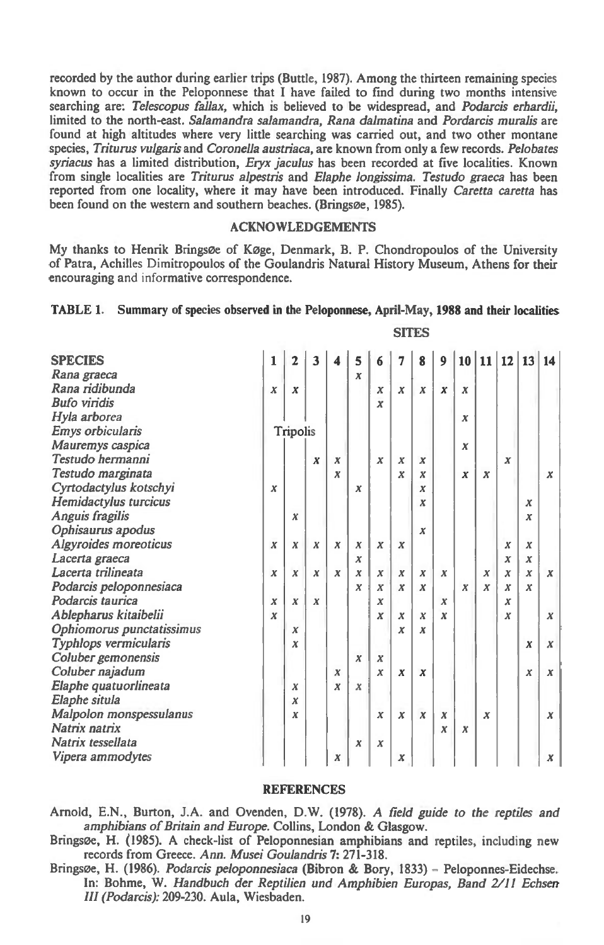**recorded by the author during earlier trips (Buttle, 1987). Among the thirteen remaining species known to occur in the Peloponnese that I have failed to find during two months intensive searching** *are: Telescopus fallax,* **which is believed to be widespread, and** *Podarcis erhardii, limited* **to the north-east.** *Salamandra salamandra, Rana dalmatina* **and** *Pordarcis muralis* **are**  found at high altitudes where very little searching was carried out, and two other montane **species,** *Triturus vulgaris* **and** *Coronella austriaca,* **are known from only a few records.** *Pelobates syriacus* **has a limited distribution,** *Eryx jaculus* **has been recorded at five localities. Known from single localities** *are Triturus alpestris* **and** *Elaphe longissima. Testudo graeca* **has been reported from one locality, where it may have been introduced. Finally** *Caretta caretta* **has**  been found on the western and southern beaches. (Bringsøe, 1985).

## **ACKNOWLEDGEMENTS**

**My thanks to Henrik Brings0e of Koge, Denmark, B. P. Chondropoulos of the University of Patra, Achilles Dimitropoulos of the Goulandris Natural History Museum, Athens for their encouraging and informative correspondence.** 

## **TABLE 1. Summary of species observed in the Peloponnese, April-May, 1988 and their localities**

| <b>SPECIES</b>            | 1                | $\overline{2}$   | 3                | 4                | 5                | 6                | 7                | 8                | 9                |                  | 10 11 12         |                  | 13               | 14               |
|---------------------------|------------------|------------------|------------------|------------------|------------------|------------------|------------------|------------------|------------------|------------------|------------------|------------------|------------------|------------------|
| Rana graeca               |                  |                  |                  |                  | $\boldsymbol{x}$ |                  |                  |                  |                  |                  |                  |                  |                  |                  |
| Rana ridibunda            | $\boldsymbol{x}$ | $\boldsymbol{x}$ |                  |                  |                  | x                | $\boldsymbol{x}$ | $\boldsymbol{x}$ | $\boldsymbol{x}$ | $\boldsymbol{x}$ |                  |                  |                  |                  |
| <b>Bufo</b> viridis       |                  |                  |                  |                  |                  | $\boldsymbol{x}$ |                  |                  |                  |                  |                  |                  |                  |                  |
| Hyla arborea              |                  |                  |                  |                  |                  |                  |                  |                  |                  | $\boldsymbol{x}$ |                  |                  |                  |                  |
| Emys orbicularis          | Tripolis         |                  |                  |                  |                  |                  |                  |                  |                  |                  |                  |                  |                  |                  |
| Mauremys caspica          |                  |                  |                  |                  |                  |                  |                  |                  |                  | $\boldsymbol{x}$ |                  |                  |                  |                  |
| Testudo hermanni          |                  |                  | $\boldsymbol{x}$ | $\boldsymbol{x}$ |                  | $\boldsymbol{x}$ | x                | $\boldsymbol{x}$ |                  |                  |                  | $\boldsymbol{x}$ |                  |                  |
| Testudo marginata         |                  |                  |                  | $\boldsymbol{x}$ |                  |                  | x                | x                |                  | $\boldsymbol{x}$ | $\boldsymbol{x}$ |                  |                  | x                |
| Cyrtodactylus kotschyi    | $\boldsymbol{x}$ |                  |                  |                  | х                |                  |                  | х                |                  |                  |                  |                  |                  |                  |
| Hemidactylus turcicus     |                  |                  |                  |                  |                  |                  |                  | x                |                  |                  |                  |                  | $\boldsymbol{x}$ |                  |
| Anguis fragilis           |                  | $\boldsymbol{x}$ |                  |                  |                  |                  |                  |                  |                  |                  |                  |                  | $\boldsymbol{x}$ |                  |
| Ophisaurus apodus         |                  |                  |                  |                  |                  |                  |                  | $\boldsymbol{x}$ |                  |                  |                  |                  |                  |                  |
| Algyroides moreoticus     | $\boldsymbol{x}$ | $\boldsymbol{x}$ | $\boldsymbol{x}$ | $\boldsymbol{x}$ | $\boldsymbol{x}$ | $\boldsymbol{x}$ | $\boldsymbol{x}$ |                  |                  |                  |                  | $\boldsymbol{x}$ | $\boldsymbol{x}$ |                  |
| Lacerta graeca            |                  |                  |                  |                  | x                |                  |                  |                  |                  |                  |                  | X                | X                |                  |
| Lacerta trilineata        | $\boldsymbol{x}$ | $\boldsymbol{x}$ | $\boldsymbol{x}$ | $\boldsymbol{x}$ | $\boldsymbol{x}$ | $\boldsymbol{x}$ | $\boldsymbol{x}$ | $\boldsymbol{x}$ | $\boldsymbol{x}$ |                  | $\boldsymbol{x}$ | $\boldsymbol{x}$ | $\boldsymbol{x}$ | $\boldsymbol{x}$ |
| Podarcis peloponnesiaca   |                  |                  |                  |                  | $\boldsymbol{x}$ | $\boldsymbol{x}$ | $\boldsymbol{x}$ | x                |                  | $\boldsymbol{x}$ | x                | $\boldsymbol{x}$ | $\boldsymbol{x}$ |                  |
| Podarcis taurica          | $\boldsymbol{x}$ | $\boldsymbol{x}$ | $\boldsymbol{x}$ |                  |                  | $\boldsymbol{x}$ |                  |                  | $\boldsymbol{x}$ |                  |                  | x                |                  |                  |
| Ablepharus kitaibelii     | $\boldsymbol{x}$ |                  |                  |                  |                  | $\boldsymbol{x}$ | x                | $\boldsymbol{x}$ | $\boldsymbol{x}$ |                  |                  | x                |                  | $\boldsymbol{x}$ |
| Ophiomorus punctatissimus |                  | x                |                  |                  |                  |                  | $\boldsymbol{x}$ | X                |                  |                  |                  |                  |                  |                  |
| Typhlops vermicularis     |                  | x                |                  |                  |                  |                  |                  |                  |                  |                  |                  |                  | X                | $\boldsymbol{x}$ |
| Coluber gemonensis        |                  |                  |                  |                  | $\boldsymbol{x}$ | $\boldsymbol{x}$ |                  |                  |                  |                  |                  |                  |                  |                  |
| Coluber najadum           |                  |                  |                  | $\boldsymbol{x}$ |                  | $\boldsymbol{x}$ | $\boldsymbol{x}$ | $\boldsymbol{x}$ |                  |                  |                  |                  | X                | $\boldsymbol{x}$ |
| Elaphe quatuorlineata     |                  | $\boldsymbol{x}$ |                  | $\boldsymbol{x}$ | $\boldsymbol{x}$ |                  |                  |                  |                  |                  |                  |                  |                  |                  |
| Elaphe situla             |                  | X                |                  |                  |                  |                  |                  |                  |                  |                  |                  |                  |                  |                  |
| Malpolon monspessulanus   |                  | x                |                  |                  |                  | $\boldsymbol{x}$ | x                | $\boldsymbol{x}$ | X                |                  | x                |                  |                  | $\boldsymbol{x}$ |
| Natrix natrix             |                  |                  |                  |                  |                  |                  |                  |                  | x                | $\boldsymbol{x}$ |                  |                  |                  |                  |
| Natrix tessellata         |                  |                  |                  |                  | x                | x                |                  |                  |                  |                  |                  |                  |                  |                  |
| Vipera ammodytes          |                  |                  |                  | X                |                  |                  | x                |                  |                  |                  |                  |                  |                  | x                |

**SITES** 

#### **REFERENCES**

**Arnold, E.N., Burton, J.A. and Ovenden, D.W. (1978). A** *field guide to the reptiles and amphibians of Britain and Europe.* **Collins, London & Glasgow.** 

**Brings0e, H. (1985). A check-list of Peloponnesian amphibians and reptiles, including new records from Greece.** *Ann. Musei Goulandris 7:* **271-318.** 

Bringsøe, H. (1986). *Podarcis peloponnesiaca* (Bibron & Bory, 1833) - Peloponnes-Eidechse. **In: Bohme, W.** *Handbuch der Reptilien and Amphibien Europas, Band 2/11 Echsen III (Podarcis):* **209-230. Aula, Wiesbaden.**